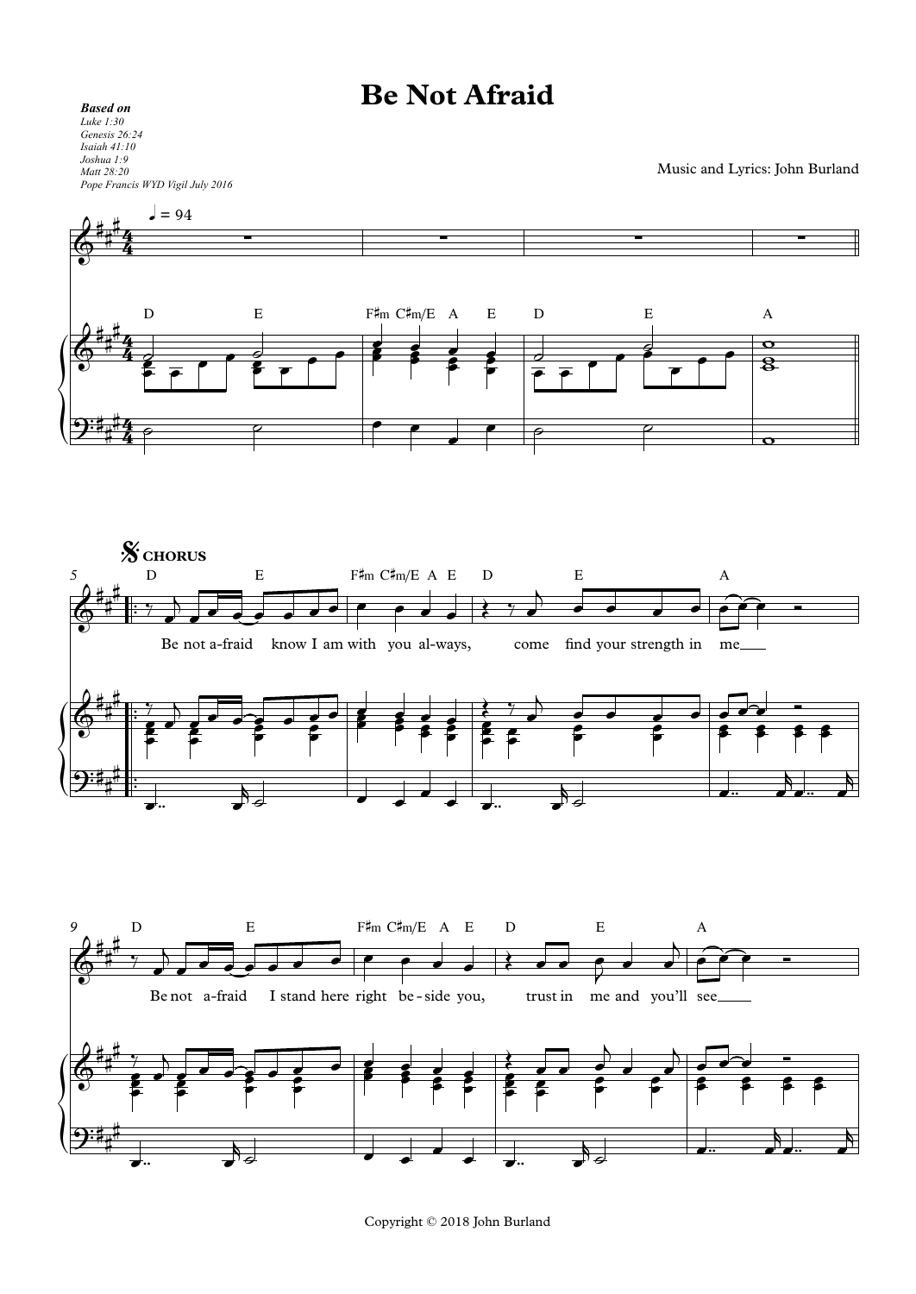## **Be Not Afraid**

## *Based on Luke 1:30 Genesis 26:24 Isaiah 41:10 Joshua 1:9 Matt 28:20 Pope Francis WYD Vigil July 2016*

Music and Lyrics: John Burland



Copyright © 2018 John Burland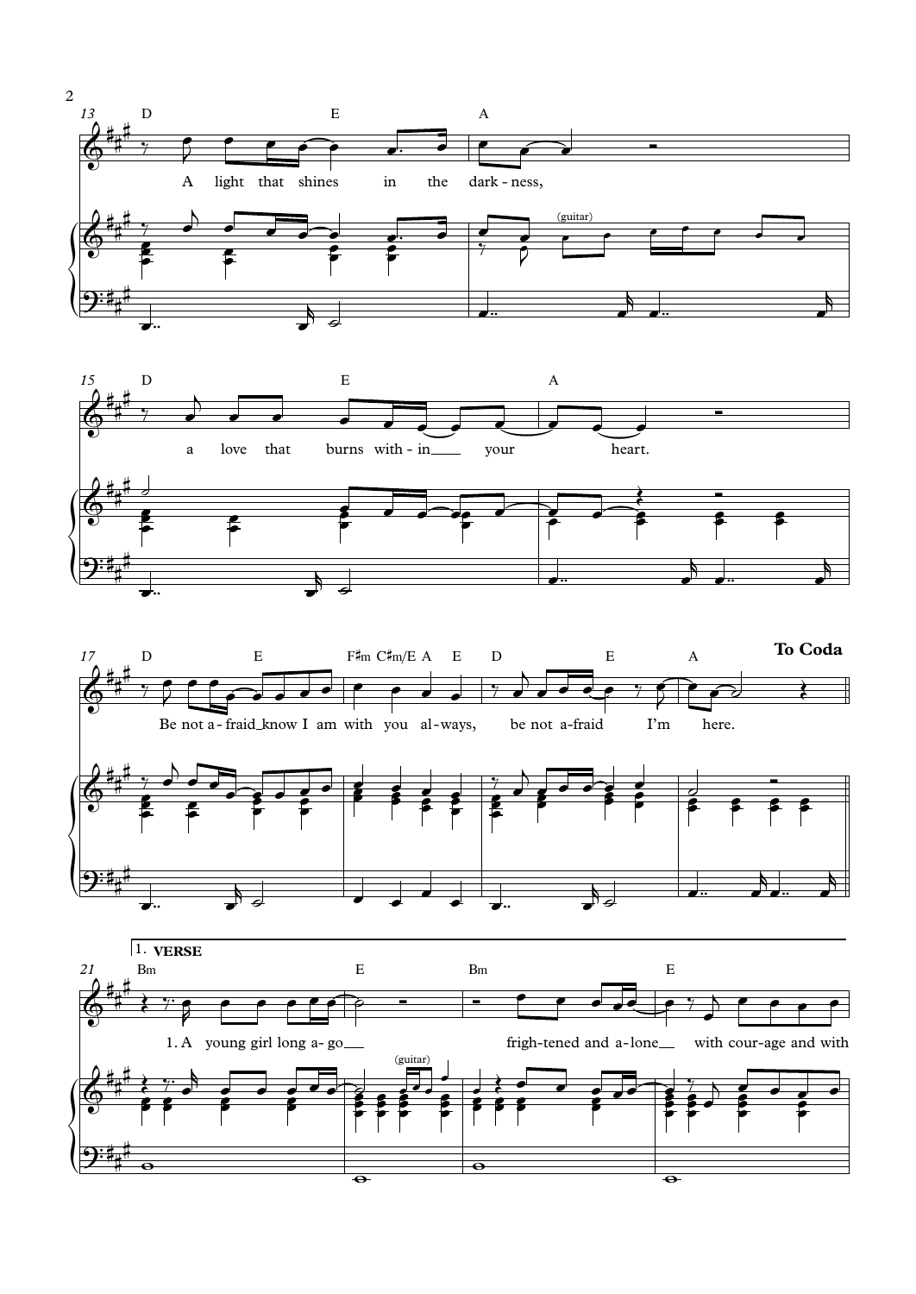





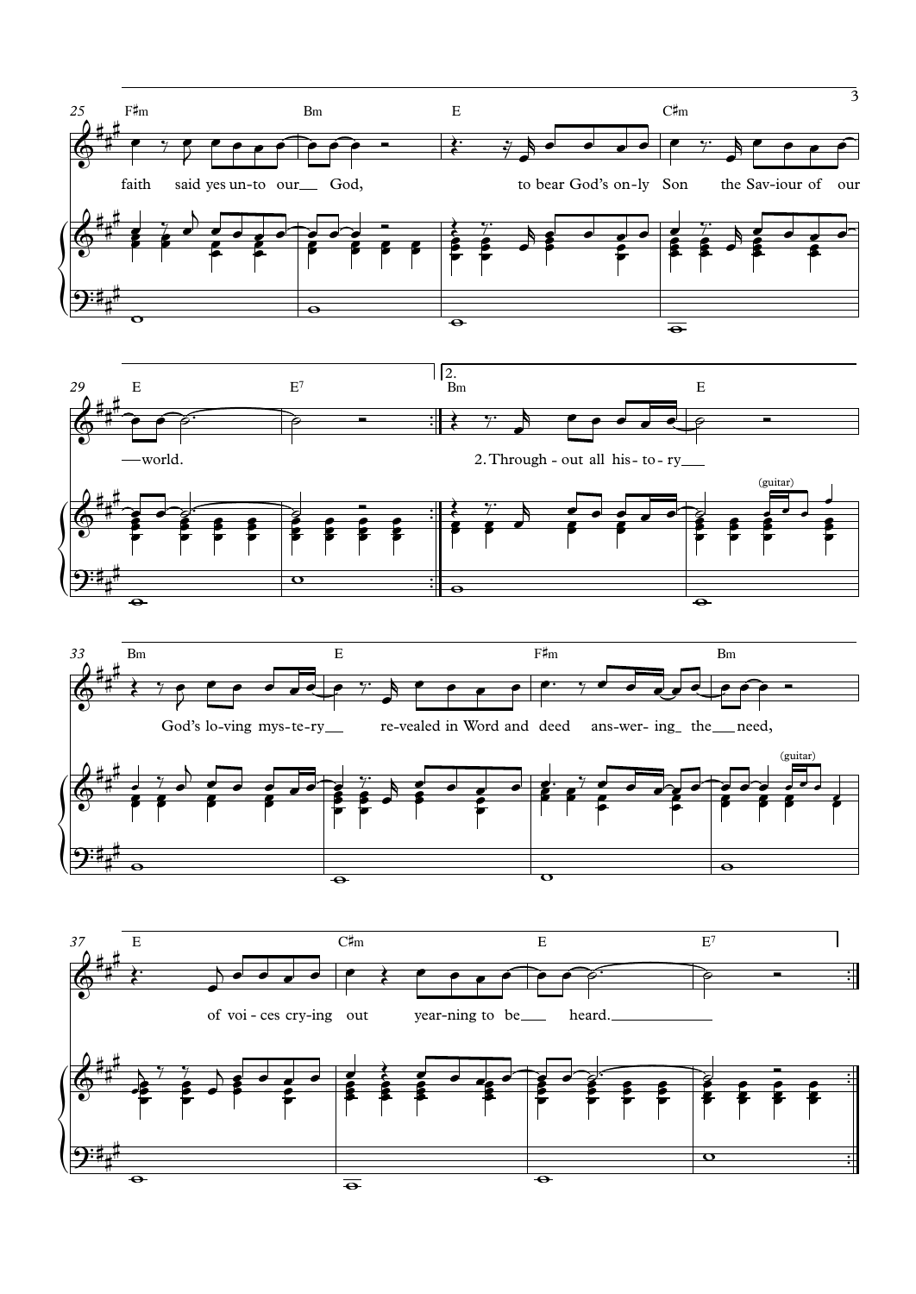